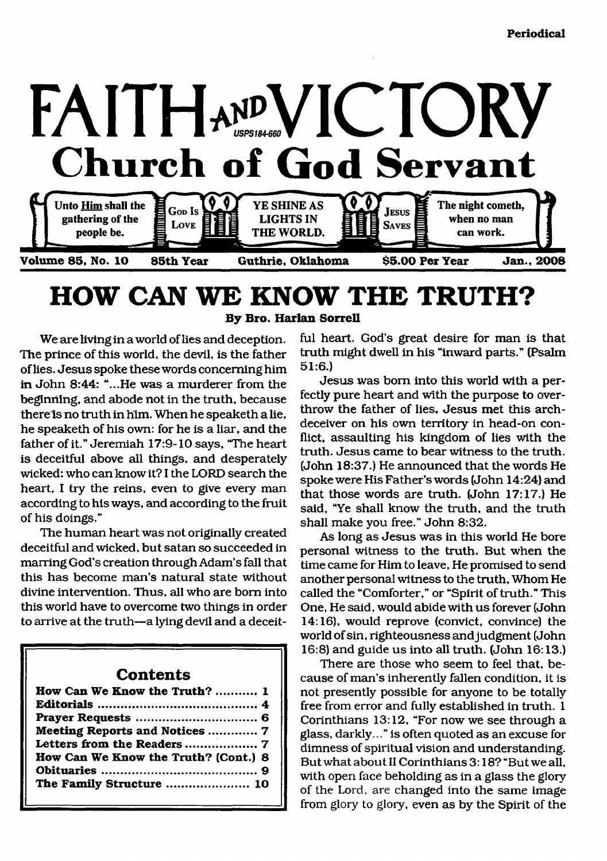

# <span id="page-0-0"></span>**HOW CAN WE KNOW THE TRUTH? By Bro. Harlan Sorrell**

We are living in a world of lies and deception. The prince of this world, the devil, is the father of lies. Jesus spoke these words concerning him in John 8:44: "...He was a murderer from the beginning, and abode not in the truth, because there is no truth in him. When he speaketh a lie, he speaketh of his own: for he is a liar, and the father of it." Jeremiah 17:9-10 says, 'The heart is deceitful above all things, and desperately wicked: who can know it? I the LORD search the heart, I try the reins, even to give every man according to his ways, and according to the fruit of his doings."

The human heart was not originally created deceitful and wicked, but satan so succeeded in marring God's creation through Adam's fall that this has become man's natural state without divine intervention. Thus, all who are bom into this world have to overcome two things in order to arrive at the truth—a lying devil and a deceit-

### **Contents**

| How Can We Know the Truth?  1        |
|--------------------------------------|
|                                      |
|                                      |
| Meeting Reports and Notices  7       |
|                                      |
| How Can We Know the Truth? (Cont.) 8 |
|                                      |
| The Family Structure  10             |
|                                      |

ful heart. God's great desire for man is that truth might dwell in his "inward parts." (Psalm 51:6.)

Jesus was bom into this world with a perfectly pure heart and with the purpose to overthrow the father of lies. Jesus met this archdeceiver on his own territory in head-on conflict, assaulting his kingdom of lies with the truth. Jesus came to bear witness to the truth. (John 18:37.) He announced that the words He spoke were His Father's words (John 14:24) and that those words are truth. (John 17:17.) He said, "Ye shall know the truth, and the truth shall make you free." John 8:32.

As long as Jesus was in this world He bore personal witness to the truth. But when the time came for Him to leave, He promised to send another personal witness to the truth. Whom He called the "Comforter," or "Spirit of truth." This One, He said, would abide with us forever (John 14:16), would reprove (convict, convince) the world of sin, righteousness and judgment (John 16:8) and guide us into all truth. (John 16:13.)

There are those who seem to feel that, because of man's inherently fallen condition, it is not presently possible for anyone to be totally free from error and fully established in truth. 1 Corinthians 13:12, "For now we see through a glass, darkly..." is often quoted as an excuse for dimness of spiritual vision and understanding. But what about II Corinthians 3:18? "But we all, with open face beholding as in a glass the glory of the Lord, are changed into the same image from glory to glory, even as by the Spirit of the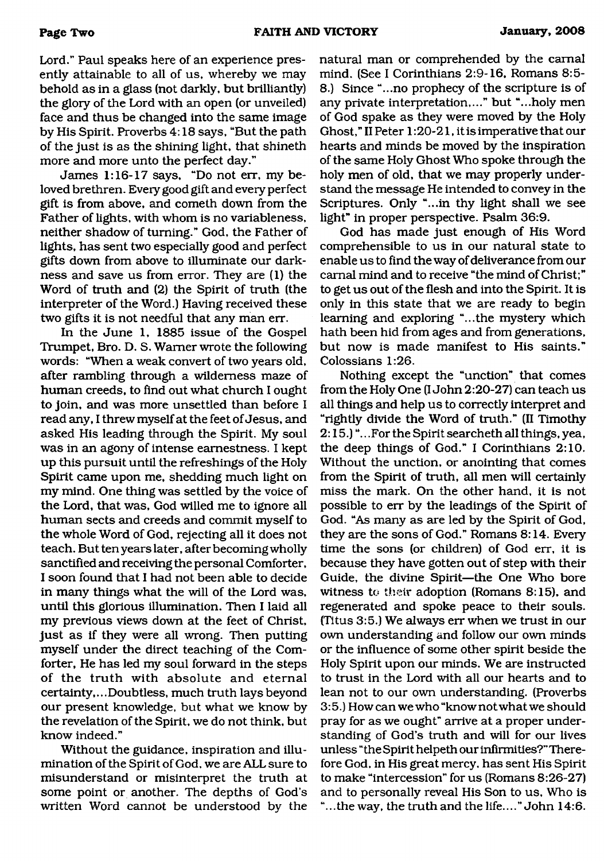Lord." Paul speaks here of an experience presently attainable to all of us, whereby we may behold as in a glass (not darkly, but brilliantly) the glory of the Lord with an open (or unveiled) face and thus be changed into the same image by His Spirit. Proverbs 4:18 says, "But the path of the just is as the shining light, that shineth more and more unto the perfect day."

James 1:16-17 says, "Do not err, my beloved brethren. Every good gift and every perfect gift is from above, and cometh down from the Father of lights, with whom is no variableness, neither shadow of turning." God, the Father of lights, has sent two especially good and perfect gifts down from above to illuminate our darkness and save us from error. They are (1) the Word of truth and (2) the Spirit of truth (the interpreter of the Word.) Having received these two gifts it is not needful that any man err.

In the June 1, 1885 issue of the Gospel Trumpet, Bro. D. S. Warner wrote the following words: "When a weak convert of two years old, after rambling through a wilderness maze of human creeds, to find out what church I ought to join, and was more unsettled than before I read any, I threw myself at the feet of Jesus, and asked His leading through the Spirit. My soul was in an agony of intense earnestness. I kept up this pursuit until the refreshings of the Holy Spirit came upon me, shedding much light on my mind. One thing was settled by the voice of the Lord, that was, God willed me to ignore all human sects and creeds and commit myself to the whole Word of God, rejecting all it does not teach. But ten years later, after becoming wholly sanctified and receiving the personal Comforter, I soon found that I had not been able to decide in many things what the will of the Lord was, until this glorious illumination. Then I laid all my previous views down at the feet of Christ, just as if they were all wrong. Then putting myself under the direct teaching of the Comforter, He has led my soul forward in the steps of the truth with absolute and eternal certainty,...Doubtless, much truth lays beyond our present knowledge, but what we know by the revelation of the Spirit, we do not think, but know indeed."

Without the guidance, inspiration and illumination of the Spirit of God, we are ALL sure to misunderstand or misinterpret the truth at some point or another. The depths of God's written Word cannot be understood by the

natural man or comprehended by the carnal mind. (See I Corinthians 2:9-16, Romans 8:5- 8.) Since "...no prophecy of the scripture is of any private interpretation,..." but "...holy men of God spake as they were moved by the Holy Ghost," II Peter 1:20-21, it is imperative that our hearts and minds be moved by the inspiration of the same Holy Ghost Who spoke through the holy men of old, that we may properly understand the message He intended to convey in the Scriptures. Only "...in thy light shall we see light" in proper perspective. Psalm 36:9.

God has made just enough of His Word comprehensible to us in our natural state to enable us to find the way of deliverance from our carnal mind and to receive "the mind of Christ;" to get us out of the flesh and into the Spirit. It is only in this state that we are ready to begin learning and exploring "...the mystery which hath been hid from ages and from generations, but now is made manifest to His saints." Colossians 1:26.

Nothing except the "unction" that comes from the Holy One (I John 2:20-27) can teach us all things and help us to correctly interpret and "rightly divide the Word of truth." (II Timothy 2:15.)".. .For the Spirit searcheth all things, yea, the deep things of God." I Corinthians 2:10. Without the unction, or anointing that comes from the Spirit of truth, all men will certainly miss the mark. On the other hand, it is not possible to err by the leadings of the Spirit of God. "As many as are led by the Spirit of God, they are the sons of God." Romans 8:14. Every time the sons (or children) of God err, it is because they have gotten out of step with their Guide, the divine Spirit—the One Who bore witness to their adoption (Romans 8:15), and regenerated and spoke peace to their souls. (Titus 3:5.) We always err when we trust in our own understanding and follow our own minds or the influence of some other spirit beside the Holy Spirit upon our minds. We are instructed to trust in the Lord with all our hearts and to lean not to our own understanding. (Proverbs 3:5.) How can we who "know not what we should pray for as we ought" arrive at a proper understanding of God's truth and will for our lives unless "the Spirit helpeth our infirmities?" Therefore God, in His great mercy, has sent His Spirit to make "intercession" for us (Romans 8:26-27) and to personally reveal His Son to us. Who is "... the way, the truth and the life...." John 14:6.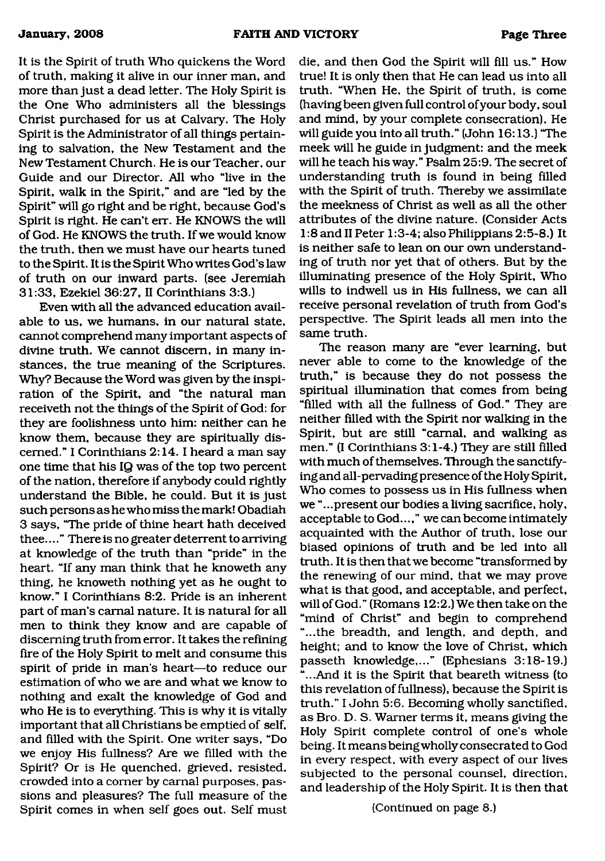It is the Spirit of truth Who quickens the Word of truth, making it alive in our inner man, and more than just a dead letter. The Holy Spirit is the One Who administers all the blessings Christ purchased for us at Calvary. The Holy Spirit is the Administrator of all things pertaining to salvation, the New Testament and the New Testament Church. He is our Teacher, our Guide and our Director. All who "live in the Spirit, walk in the Spirit," and are "led by the Spirit" will go right and be right, because God's Spirit is right. He can't err. He KNOWS the will of God. He KNOWS the truth. If we would know the truth, then we must have our hearts tuned to the Spirit. It is the Spirit Who writes God's law of truth on our inward parts, (see Jeremiah 31:33, Ezekiel 36:27, II Corinthians 3:3.)

Even with all the advanced education available to us, we humans, in our natural state, cannot comprehend many important aspects of divine truth. We cannot discern, in many instances, the true meaning of the Scriptures. Why? Because the Word was given by the inspiration of the Spirit, and "the natural man receiveth not the things of the Spirit of God: for they are foolishness unto him: neither can he know them, because they are spiritually discerned." I Corinthians 2:14.1 heard a man say one time that his IQ was of the top two percent of the nation, therefore if anybody could rightly understand the Bible, he could. But it is just such persons as he who miss the mark! Obadiah 3 says, "The pride of thine heart hath deceived thee...." There is no greater deterrent to arriving at knowledge of the truth than "pride" in the heart. "If any man think that he knoweth any thing, he knoweth nothing yet as he ought to know." I Corinthians 8:2. Pride is an inherent part of man's carnal nature. It is natural for all men to think they know and are capable of discerning truth from error. It takes the refining fire of the Holy Spirit to melt and consume this spirit of pride in man's heart—to reduce our estimation of who we are and what we know to nothing and exalt the knowledge of God and who He is to everything. This is why it is vitally important that all Christians be emptied of self, and filled with the Spirit. One writer says, "Do we enjoy His fullness? Are we filled with the Spirit? Or is He quenched, grieved, resisted, crowded into a comer by carnal purposes, passions and pleasures? The full measure of the Spirit comes in when self goes out. Self must die, and then God the Spirit will fill us." How true! It is only then that He can lead us into all truth. "When He, the Spirit of truth, is come (having been given full control of your body, soul and mind, by your complete consecration). He will guide you into all truth." (John 16:13.) "The meek will he guide in judgment: and the meek will he teach his way." Psalm 25:9. The secret of understanding truth is found in being filled with the Spirit of truth. Thereby we assimilate the meekness of Christ as well as all the other attributes of the divine nature. (Consider Acts 1:8 and II Peter 1:3-4; also Philippians 2:5-8.) It is neither safe to lean on our own understanding of tmth nor yet that of others. But by the illuminating presence of the Holy Spirit, Who wills to indwell us in His fullness, we can all receive personal revelation of truth from God's perspective. The Spirit leads all men into the same truth.

The reason many are "ever learning, but never able to come to the knowledge of the tmth," is because they do not possess the spiritual illumination that comes from being "filled with all the fullness of God." They are neither filled with the Spirit nor walking in the Spirit, but are still "carnal, and walking as men." (I Corinthians 3:1-4.) They are still filled with much of themselves. Through the sanctifying and all-pervading presence of the Holy Spirit, Who comes to possess us in His fullness when we "...present our bodies a living sacrifice, holy, acceptable to God...," we can become intimately acquainted with the Author of truth, lose our biased opinions of tmth and be led into all truth. It is then that we become "transformed by the renewing of our mind, that we may prove what is that good, and acceptable, and perfect, will of God." (Romans 12:2.) We then take on the "mind of Christ" and begin to comprehend "...the breadth, and length, and depth, and height; and to know the love of Christ, which passeth knowledge,..." (Ephesians 3:18-19.) "...And it is the Spirit that beareth witness (to this revelation of fullness), because the Spirit is truth." I John 5:6. Becoming wholly sanctified, as Bro. D. S. Warner terms it, means giving the Holy Spirit complete control of one's whole being. It means being wholly consecrated to God in every respect, with every aspect of our lives subjected to the personal counsel, direction, and leadership of the Holy Spirit. It is then that

#### (Continued on page 8.)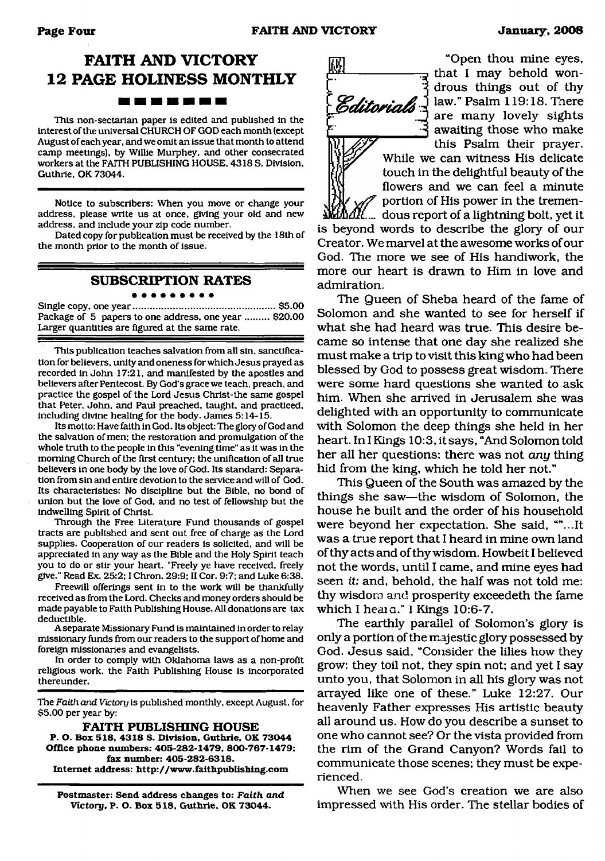# **FAITH AND VICTORY 12 PAGE HOLINESS MONTHLY** *m* <u>ta sa sa sa sa sa sa</u>

This non-sectarian paper is edited and published in the interest of the universal CHURCH OF GOD each month (except August of each year, and we omit an issue that month to attend camp meetings), by Willie Murphey, and other consecrated workers at the FAITH PUBLISHING HOUSE. 4318 S. Division. Guthrie, OK 73044.

Notice to subscribers: When you move or change your address, please write us at once, giving your old and new address, and include your zip code number.

Dated copy for publication must be received by the 18th of the month prior to the month of issue.

#### **SUBSCRIPTION RATES**

#### . . . . . . . . . Single copy, one year......................................................\$5.00

Package of 5 papers to one address, one year ......... \$20.00 Larger quantities are figured at the same rate.

This publication teaches salvation from all sin, sanctification for believers, unity and oneness for which Jesus prayed as recorded in John 17:21, and manifested by the apostles and believers after Pentecost. By God's grace we teach, preach, and practice the gospel of the Lord Jesus Christ-the same gospel that Peter, John, and Paul preached, taught, and practiced, including divine healing for the body. James 5:14-15.

Its motto: Have faith in God. Its object: The glory of God and the salvation of men; the restoration and promulgation of the whole truth to the people in this "evening time" as it was in the morning Church of the first century: the unification of all true believers in one body by the love of God. Its standard: Separation from sin and entire devotion to the service and will of God. Its characteristics: No discipline but the Bible, no bond of union but the love of God, and no test of fellowship but the indwelling Spirit of Christ.

Through the Free Literature Fund thousands of gospel tracts are published and sent out free of charge as the Lord supplies. Cooperation of our readers is solicited, and will be appreciated in any way as the Bible and the Holy Spirit teach you to do or stir your heart. "Freely ye have received, freely give." Read Ex. 25:2:1 Chron. 29:9: II Cor. 9:7; and Luke 6:38.

Freewill offerings sent in to the work will be thankfully received as from the Lord. Checks and money orders should be made payable to Faith Publishing House. All donations are tax deductible.

A separate Missionary Fund is maintained in order to relay missionary funds from our readers to the support of home and foreign missionaries and evangelists.

In order to comply with Oklahoma laws as a non-profit religious work, the Faith Publishing House is incorporated thereunder.

The *Faith and Victory* is published monthly, except August, for \$5.00 per year by:

**FAITH PUBLISHING HOUSE P. O. Box 518, 4318 S. Division, Guthrie. OK 73044 Office phone numbers: 405-282-1479. 800-767-1479; fax number: 405-282-6318. Internet address: <http://www.faithpublishing.com>**

**Postmaster: Send address changes to:** *Faith and Victory***, P. O. Box 518. Guthrie, OK 73044.**



"Open thou mine eyes, r " ---------------- *zi* that I may behold wondrous things out of thy  $\mathcal{E}$ ditorials  $\frac{1}{2}$  law." Psalm 119:18. There are many lovely sights awaiting those who make this Psalm their prayer.

While we can witness His delicate touch in the delightful beauty of the flowers and we can feel a minute

portion of His power in the tremendous report of a lightning bolt, yet it is beyond words to describe the glory of our Creator. We marvel at the awesome works of our God. The more we see of His handiwork, the more our heart is drawn to Him in love and admiration.

The Queen of Sheba heard of the fame of Solomon and she wanted to see for herself if what she had heard was true. This desire became so intense that one day she realized she must make a trip to visit this king who had been blessed by God to possess great wisdom. There were some hard questions she wanted to ask him. When she arrived in Jerusalem she was delighted with an opportunity to communicate with Solomon the deep things she held in her heart. In I Kings 10:3, it says, "And Solomon told her all her questions: there was not *any* thing hid from the king, which he told her not."

This Queen of the South was amazed by the things she saw—the wisdom of Solomon, the house he built and the order of his household were beyond her expectation. She said, ""...It was a true report that I heard in mine own land of thy acts and of thy wisdom. Howbeit I believed not the words, until I came, and mine eyes had seen *it:* and, behold, the half was not told me: thy wisdom and prosperity exceedeth the fame which I heara." 1 Kings 10:6-7.

The earthly parallel of Solomon's glory is only a portion of the majestic glory possessed by God. Jesus said, "Consider the lilies how they grow: they toil not, they spin not; and yet I say unto you, that Solomon in all his glory was not arrayed like one of these." Luke 12:27. Our heavenly Father expresses His artistic beauty all around us. How do you describe a sunset to one who cannot see? Or the vista provided from the rim of the Grand Canyon? Words fail to communicate those scenes; they must be experienced.

When we see God's creation we are also impressed with His order. The stellar bodies of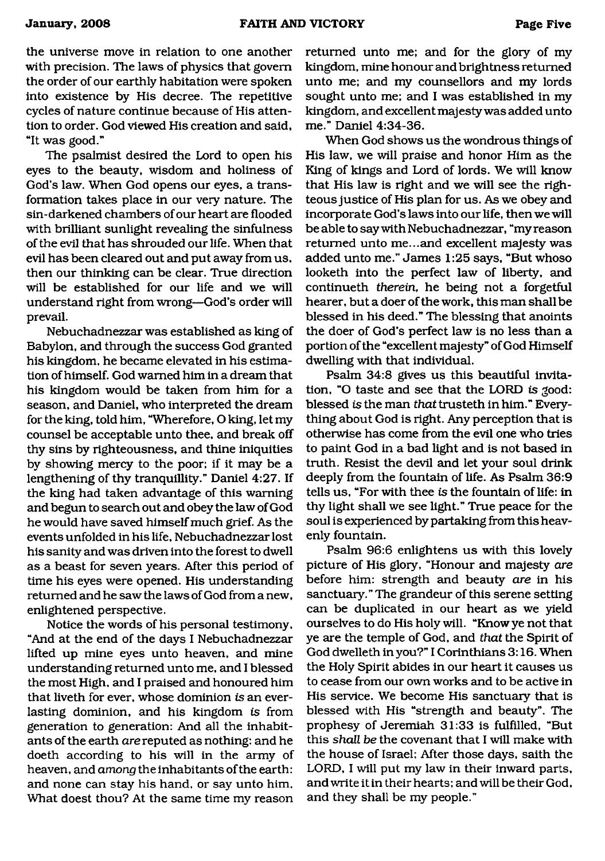the universe move in relation to one another with precision. The laws of physics that govern the order of our earthly habitation were spoken into existence by His decree. The repetitive cycles of nature continue because of His attention to order. God viewed His creation and said, "It was good."

The psalmist desired the Lord to open his eyes to the beauty, wisdom and holiness of God's law. When God opens our eyes, a transformation takes place in our very nature. The sin-darkened chambers of our heart are flooded with brilliant sunlight revealing the sinfulness of the evil that has shrouded our life. When that evil has been cleared out and put away from us, then our thinking can be clear. True direction will be established for our life and we will understand right from wrong—God's order will prevail.

Nebuchadnezzar was established as king of Babylon, and through the success God granted his kingdom, he became elevated in his estimation of himself. God warned him in a dream that his kingdom would be taken from him for a season, and Daniel, who interpreted the dream for the king, told him, "Wherefore, O king, let my counsel be acceptable unto thee, and break off thy sins by righteousness, and thine iniquities by showing mercy to the poor; if it may be a lengthening of thy tranquillity." Daniel 4:27. If the king had taken advantage of this warning and begun to search out and obey the law of God he would have saved himself much grief. As the events unfolded in his life, Nebuchadnezzar lost his sanity and was driven into the forest to dwell as a beast for seven years. After this period of time his eyes were opened. His understanding returned and he saw the laws of God from a new, enlightened perspective.

Notice the words of his personal testimony, "And at the end of the days I Nebuchadnezzar lifted up mine eyes unto heaven, and mine understanding returned unto me, and I blessed the most High, and I praised and honoured him that liveth for ever, whose dominion *is* an everlasting dominion, and his kingdom *is* from generation to generation: And all the inhabitants of the earth *are* reputed as nothing: and he doeth according to his will in the army of heaven, and *among* the inhabitants of the earth: and none can stay his hand, or say unto him, What doest thou? At the same time my reason

returned unto me; and for the glory of my kingdom, mine honour and brightness returned unto me; and my counsellors and my lords sought unto me; and I was established in my kingdom, and excellent majesty was added unto me." Daniel 4:34-36.

When God shows us the wondrous things of His law, we will praise and honor Him as the King of kings and Lord of lords. We will know that His law is right and we will see the righteous justice of His plan for us. As we obey and incorporate God's laws into our life, then we will be able to say with Nebuchadnezzar, "my reason returned unto me...and excellent majesty was added unto me." James 1:25 says, "But whoso looketh into the perfect law of liberty, and continueth *therein,* he being not a forgetful hearer, but a doer of the work, this man shall be blessed in his deed." The blessing that anoints the doer of God's perfect law is no less than a portion of the "excellent majesty" of God Himself dwelling with that individual.

Psalm 34:8 gives us this beautiful invitation, "O taste and see that the LORD is good: blessed *is* the man *that* trusteth in him." Everything about God is right. Any perception that is otherwise has come from the evil one who tries to paint God in a bad light and is not based in truth. Resist the devil and let your soul drink deeply from the fountain of life. As Psalm 36:9 tells us, "For with thee *is* the fountain of life: in thy light shall we see light." True peace for the soul is experienced by partaking from this heavenly fountain.

Psalm 96:6 enlightens us with this lovely picture of His glory, "Honour and majesty *are* before him: strength and beauty *are* in his sanctuary." The grandeur of this serene setting can be duplicated in our heart as we yield ourselves to do His holy will. "Know ye not that ye are the temple of God, and *that* the Spirit of God dwelleth in you?" I Corinthians 3:16. When the Holy Spirit abides in our heart it causes us to cease from our own works and to be active in His service. We become His sanctuary that is blessed with His "strength and beauty". The prophesy of Jeremiah 31:33 is fulfilled, "But this *shall be* the covenant that I will make with the house of Israel; After those days, saith the LORD, I will put my law in their inward parts, and write it in their hearts; and will be their God, and they shall be my people."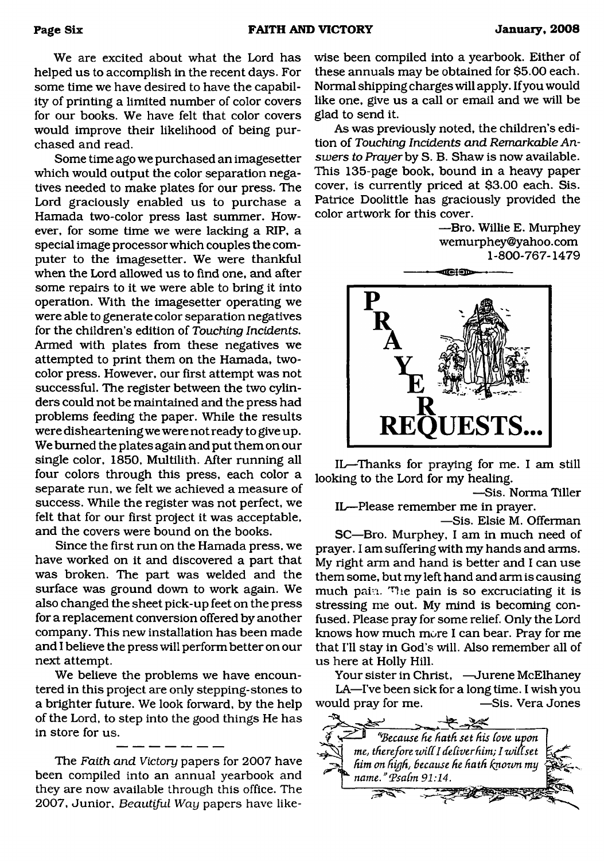We are excited about what the Lord has helped us to accomplish in the recent days. For some time we have desired to have the capability of printing a limited number of color covers for our books. We have felt that color covers would improve their likelihood of being purchased and read.

Some time ago we purchased an imagesetter which would output the color separation negatives needed to make plates for our press. The Lord graciously enabled us to purchase a Hamada two-color press last summer. However, for some time we were lacking a RIP, a special image processor which couples the computer to the imagesetter. We were thankful when the Lord allowed us to find one, and after some repairs to it we were able to bring it into operation. With the imagesetter operating we were able to generate color separation negatives for the children's edition of *Touching Incidents.* Armed with plates from these negatives we attempted to print them on the Hamada, twocolor press. However, our first attempt was not successful. The register between the two cylinders could not be maintained and the press had problems feeding the paper. While the results were disheartening we were not ready to give up. We burned the plates again and put them on our single color, 1850, Multilith. After running all four colors through this press, each color a separate run, we felt we achieved a measure of success. While the register was not perfect, we felt that for our first project it was acceptable, and the covers were bound on the books.

Since the first run on the Hamada press, we have worked on it and discovered a part that was broken. The part was welded and the surface was ground down to work again. We also changed the sheet pick-up feet on the press for a replacement conversion offered by another company. This new installation has been made and I believe the press will perform better on our next attempt.

We believe the problems we have encountered in this project are only stepping-stones to a brighter future. We look forward, by the help of the Lord, to step into the good things He has in store for us.

The *Faith and* Victory papers for 2007 have been compiled into an annual yearbook and they are now available through this office. The 2007, Junior, *Beautiful Way* papers have likewise been compiled into a yearbook. Either of these annuals may be obtained for \$5.00 each. Normal shipping charges will apply. If you would like one, give us a call or email and we will be glad to send it.

As was previously noted, the children's edition of *Touching Incidents and Remarkable Answers to Prayer* by S. B. Shaw is now available. This 135-page book, bound in a heavy paper cover, is currently priced at \$3.00 each. Sis. Patrice Doolittle has graciously provided the color artwork for this cover.

> —Bro. Willie E. Murphey wemurphey@yahoo. com 1-800-767-1479



IL—Thanks for praying for me. I am still looking to the Lord for my healing.

—Sis. Norma Tiller IL—Please remember me in prayer.

—Sis. Elsie M. Offerman SC—Bro. Murphey, I am in much need of prayer. I am suffering with my hands and arms. My right arm and hand is better and I can use them some, but my left hand and arm is causing much pain. 'Hie pain is so excruciating it is stressing me out. My mind is becoming confused. Please pray for some relief. Only the Lord knows how much more I can bear. Pray for me that I'll stay in God's will. Also remember all of us here at Holly Hill.

Your sister in Christ, —Jurene McElhaney LA—I've been sick for a long time. I wish you would pray for me. —Sis. Vera Jones

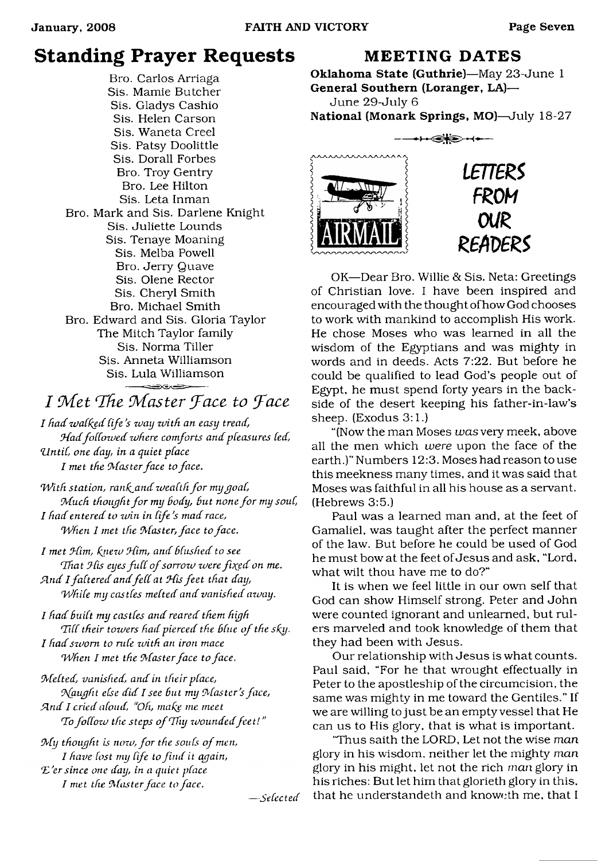# **Standing Prayer Requests**

Bro. Carlos Arriaga Sis. Mamie Butcher Sis. Gladys Cashio Sis. Helen Carson Sis. Waneta Creel Sis. Patsy Doolittle Sis. Dorall Forbes Bro. Troy Gentry Bro. Lee Hilton Sis. Leta Inman Bro. Mark and Sis. Darlene Knight Sis. Juliette Lounds Sis. Tenaye Moaning Sis. Melba Powell Bro. Jerry Quave Sis. Olene Rector Sis. Cheryl Smith Bro. Michael Smith Bro. Edward and Sis. Gloria Taylor The Mitch Taylor family Sis. Norma Tiller Sis. Anneta Williamson Sis. Lula Williamson

# *I* Met The Master Face to Face

*I had walked life's way with an easy tread, MadfoCCozved zvhere comforts andpfeasurcs fed, Zlntif, one day, in a quiet pface I met the Master face to face.*

*With station, rank and wealth for my goal, Much thought for my body, but none for my soul, I had entered to zvin in Cife's mad race, 'When I met the Master, face to face.*

*I met Mini, knezu Mim, and hflushed to see That His eyes full of sorrow were fixed on me. Sind Ifaftered and f e d at Mis feet that day, 'Whife my castfes mefted and vanished azvay.*

*I had Buift my castfes and reared them high* Till their towers had pierced the blue of the sky. *I had sworn to rule with an iron mace 'When 1 met the Master face to face.*

*Mefted, vanished, and in their pface, Mgught efse did I see But my Master's face, Sind I cried afoud, "Oh, make me meet* To follow the steps of Thy wounded feet!"

*M y thought is nozv, fo r the soufs o f men, I have lost my life to find it again, "E'ersince one day, in a quiet pface I met the Master face to face.*

### **MEETING DATES**

Oklahoma State (Guthrie)—May 23-June 1 General Southern (Loranger, LA)— June 29-July 6

National (Monark Springs, MO)—July 18-27





*LETTERS FROM OUR REAVERS*

OK—Dear Bro. Willie & Sis. Neta: Greetings of Christian love. I have been inspired and encouraged with the thought of how God chooses to work with mankind to accomplish His work. He chose Moses who was learned in all the wisdom of the Egyptians and was mighty in words and in deeds. Acts 7:22. But before he could be qualified to lead God's people out of Egypt, he must spend forty years in the backside of the desert keeping his father-in-law's sheep. (Exodus 3:1.)

"(Now the man Moses *was* very meek, above all the men which *were* upon the face of the earth.)" Numbers 12:3. Moses had reason to use this meekness many times, and it was said that Moses was faithful in all his house as a servant. (Hebrews 3:5.)

Paul was a learned man and, at the feet of Gamaliel, was taught after the perfect manner of the law. But before he could be used of God he must bow at the feet of Jesus and ask, "Lord, what wilt thou have me to do?"

It is when we feel little in our own self that God can show Himself strong. Peter and John were counted ignorant and unlearned, but rulers marveled and took knowledge of them that they had been with Jesus.

Our relationship with Jesus is what counts. Paul said, "For he that wrought effectually in Peter to the apostleship of the circumcision, the same was mighty in me toward the Gentiles." If we are willing to just be an empty vessel that He can us to His glory, that is what is important.

"Thus saith the LORD, Let not the wise *man* glory in his wisdom, neither let the mighty *man* glory in his might, let not the rich *man* glory in his riches: But let him that glorieth glory in this, *— Se fee ted* that he understandeth and knoweth me, that I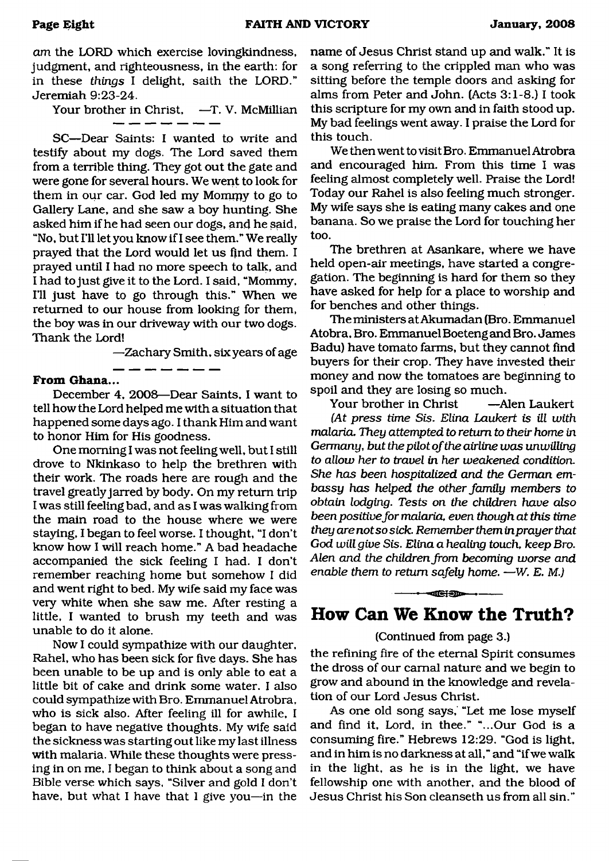*am* the LORD which exercise lovingkindness, judgment, and righteousness, in the earth: for in these *things* I delight, saith the LORD." Jeremiah 9:23-24.

Your brother in Christ, —T. V. McMillian

SC—Dear Saints: I wanted to write and testify about my dogs. The Lord saved them from a terrible thing. They got out the gate and were gone for several hours. We went to look for them in our car. God led my Mommy to go to Gallery Lane, and she saw a boy hunting. She asked him if he had seen our dogs, and he said, "No, but I'll let you know if I see them." We really prayed that the Lord would let us find them. I prayed until I had no more speech to talk, and I had to just give it to the Lord. I said, "Mommy, 111 just have to go through this." When we returned to our house from looking for them, the boy was in our driveway with our two dogs. Thank the Lord!

—Zachary Smith, six years of age

#### **From Ghana...**

December 4, 2008—Dear Saints, I want to tell how the Lord helped me with a situation that happened some days ago. I thank Him and want to honor Him for His goodness.

. \_\_ \_\_ \_\_ \_\_ \_\_ \_

One morning I was not feeling well, but I still drove to Nkinkaso to help the brethren with their work. The roads here are rough and the travel greatly jarred by body. On my return trip I was still feeling bad, and as I was walking from the main road to the house where we were staying, I began to feel worse. I thought, "I don't know how I will reach home." A bad headache accompanied the sick feeling I had. I don't remember reaching home but somehow I did and went right to bed. My wife said my face was very white when she saw me. After resting a little, I wanted to brush my teeth and was unable to do it alone.

Now I could sympathize with our daughter, Rahel, who has been sick for five days. She has been unable to be up and is only able to eat a little bit of cake and drink some water. I also could sympathize with Bro. Emmanuel Atrobra, who is sick also. After feeling ill for awhile, I began to have negative thoughts. My wife said the sickness was starting out like my last illness with malaria. While these thoughts were pressing in on me, 1 began to think about a song and Bible verse which says, "Silver and gold I don't have, but what I have that I give you—in the

name of Jesus Christ stand up and walk." It is a song referring to the crippled man who was sitting before the temple doors and asking for alms from Peter and John. (Acts 3:1-8.) I took this scripture for my own and in faith stood up. My bad feelings went away. I praise the Lord for this touch.

We then went to visit Bro. Emmanuel Atrobra and encouraged him. From this time I was feeling almost completely well. Praise the Lord! Today our Rahel is also feeling much stronger. My wife says she is eating many cakes and one banana. So we praise the Lord for touching her too.

The brethren at Asankare, where we have held open-air meetings, have started a congregation. The beginning is hard for them so they have asked for help for a place to worship and for benches and other things.

The ministers at Akumadan (Bro. Emmanuel Atobra, Bro. Emmanuel Boeteng and Bro. James Badu) have tomato farms, but they cannot find buyers for their crop. They have invested their money and now the tomatoes are beginning to spoil and they are losing so much.

Your brother in Christ —Alen Laukert *(At press time Sis. Elina Laukert is ill with malaria. They attempted to return to their home in Germany, but the pilot o f the airline was unwilling to allow her to travel in her weakened condition. She has been hospitalized and the German embassy has helped the other family members to obtain lodging. Tests on the children have also* been positive for malaria, even though at this time *they are not so sick. Remember them in prayer that God will give Sis. Elina a healing touch, keep Bro. Alen and the children from becoming worse and enable them to return safely home.* —*W. E. M.)*

## **How Can We Know the Truth?**

----------- -— iu r n m - t-----------

#### (Continued from page 3.)

the refining fire of the eternal Spirit consumes the dross of our carnal nature and we begin to grow and abound in the knowledge and revelation of our Lord Jesus Christ.

As one old song says, "Let me lose myself and find it, Lord, in thee." "...Our God is a consuming fire." Hebrews 12:29. "God is light, and in him is no darkness at all," and "if we walk in the light, as he is in the light, we have fellowship one with another, and the blood of Jesus Christ his Son cleanseth us from all sin."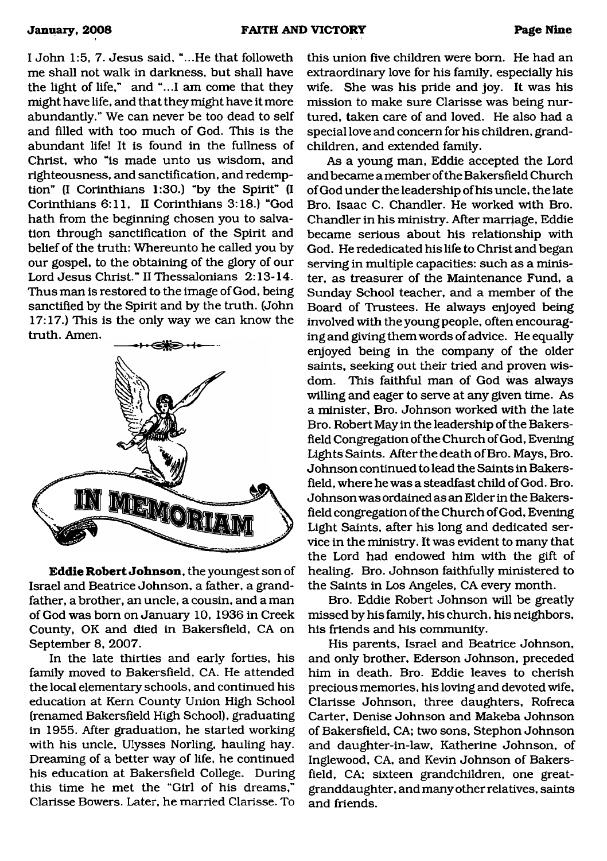I John 1:5, 7. Jesus said, "...He that followeth me shall not walk in darkness, but shall have the light of life," and "...I am come that they might have life, and that they might have it more abundantly." We can never be too dead to self and filled with too much of God. This is the abundant life! It is found in the fullness of Christ, who "is made unto us wisdom, and righteousness, and sanctification, and redemption" (I Corinthians 1:30.) "by the Spirit" (I Corinthians 6:11, II Corinthians 3:18.) "God hath from the beginning chosen you to salvation through sanctification of the Spirit and belief of the truth: Whereunto he called you by our gospel, to the obtaining of the glory of our Lord Jesus Christ." II Thessalonians 2:13-14. Thus man is restored to the image of God, being sanctified by the Spirit and by the truth. (John 17:17.) This is the only way we can know the truth. Amen.



**Eddie Robert Johnson,** the youngest son of Israel and Beatrice Johnson, a father, a grandfather, a brother, an uncle, a cousin, and a man of God was bom on January 10, 1936 in Creek County, OK and died in Bakersfield, CA on September 8, 2007.

In the late thirties and early forties, his family moved to Bakersfield, CA. He attended the local elementary schools, and continued his education at Kem County Union High School (renamed Bakersfield High School), graduating in 1955. After graduation, he started working with his uncle, Ulysses Norling, hauling hay. Dreaming of a better way of life, he continued his education at Bakersfield College. During this time he met the "Girl of his dreams," Clarisse Bowers. Later, he married Clarisse. To

this union five children were bom. He had an extraordinary love for his family, especially his wife. She was his pride and joy. It was his mission to make sure Clarisse was being nurtured, taken care of and loved. He also had a special love and concern for his children, grandchildren, and extended family.

As a young man, Eddie accepted the Lord and became a member of the Bakersfield Church of God under the leadership of his uncle, the late Bro. Isaac C. Chandler. He worked with Bro. Chandler in his ministry. After marriage, Eddie became serious about his relationship with God. He rededicated his life to Christ and began serving in multiple capacities: such as a minister, as treasurer of the Maintenance Fund, a Sunday School teacher, and a member of the Board of Trustees. He always enjoyed being involved with the young people, often encouraging and giving them words of advice. He equally enjoyed being in the company of the older saints, seeking out their tried and proven wisdom. This faithful man of God was always willing and eager to serve at any given time. As a minister, Bro. Johnson worked with the late Bro. Robert May in the leadership of the Bakersfield Congregation of the Church of God, Evening Lights Saints. After the death of Bro. Mays, Bro. Johnson continued to lead the Saints in Bakersfield, where he was a steadfast child of God. Bro. Johnson was ordained as an Elder in the Bakersfield congregation of the Church of God, Evening Light Saints, after his long and dedicated service in the ministry. It was evident to many that the Lord had endowed him with the gift of healing. Bro. Johnson faithfully ministered to the Saints in Los Angeles, CA every month.

Bro. Eddie Robert Johnson will be greatly missed by his family, his church, his neighbors, his friends and his community.

His parents, Israel and Beatrice Johnson, and only brother, Ederson Johnson, preceded him in death. Bro. Eddie leaves to cherish precious memories, his loving and devoted wife, Clarisse Johnson, three daughters, Rofreca Carter, Denise Johnson and Makeba Johnson of Bakersfield, CA; two sons, Stephon Johnson and daughter-in-law, Katherine Johnson, of Inglewood, CA, and Kevin Johnson of Bakersfield, CA; sixteen grandchildren, one greatgranddaughter, and many other relatives, saints and friends.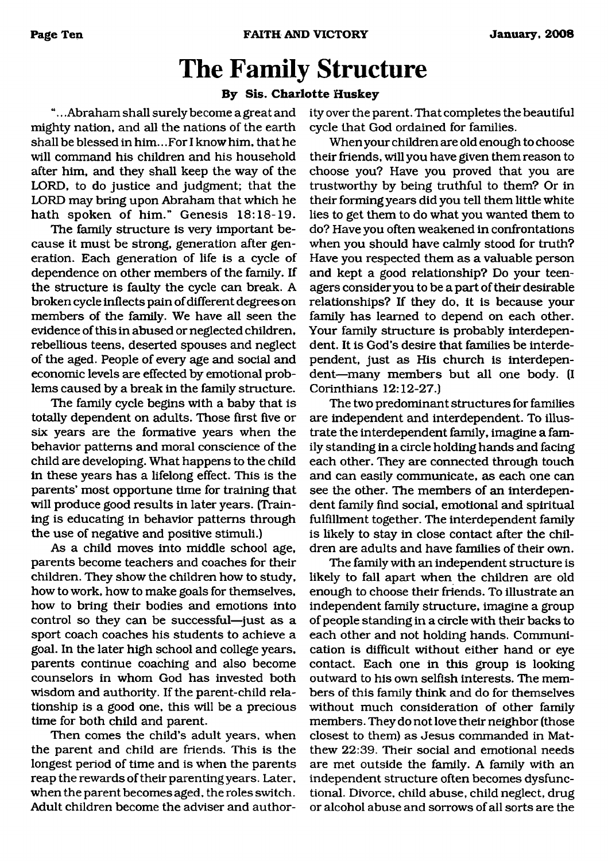# <span id="page-9-0"></span>**The Family Structure**

#### **By Sis. Charlotte Huskey**

".. .Abraham shall surely become a great and mighty nation, and all the nations of the earth shall be blessed in him.. .For I know him, that he will command his children and his household after him, and they shall keep the way of the LORD, to do justice and judgment; that the LORD may bring upon Abraham that which he hath spoken of him." Genesis 18:18-19.

The family structure is very important because it must be strong, generation after generation. Each generation of life is a cycle of dependence on other members of the family. If the structure is faulty the cycle can break. A broken cycle inflects pain of different degrees on members of the family. We have all seen the evidence of this in abused or neglected children, rebellious teens, deserted spouses and neglect of the aged. People of every age and social and economic levels are effected by emotional problems caused by a break in the family structure.

The family cycle begins with a baby that is totally dependent on adults. Those first five or six years are the formative years when the behavior patterns and moral conscience of the child are developing. What happens to the child in these years has a lifelong effect. This is the parents' most opportune time for training that will produce good results in later years. (Training is educating in behavior patterns through the use of negative and positive stimuli.)

As a child moves into middle school age, parents become teachers and coaches for their children. They show the children how to study, how to work, how to make goals for themselves, how to bring their bodies and emotions into control so they can be successful—just as a sport coach coaches his students to achieve a goal. In the later high school and college years, parents continue coaching and also become counselors in whom God has invested both wisdom and authority. If the parent-child relationship is a good one, this will be a precious time for both child and parent.

Then comes the child's adult years, when the parent and child are friends. This is the longest period of time and is when the parents reap the rewards of their parenting years. Later, when the parent becomes aged, the roles switch. Adult children become the adviser and authority over the parent. That completes the beautiful cycle that God ordained for families.

When your children are old enough to choose their friends, will you have given them reason to choose you? Have you proved that you are trustworthy by being truthful to them? Or in their forming years did you tell them little white lies to get them to do what you wanted them to do? Have you often weakened in confrontations when you should have calmly stood for truth? Have you respected them as a valuable person and kept a good relationship? Do your teenagers consider you to be a part of their desirable relationships? If they do, it is because your family has learned to depend on each other. Your family structure is probably interdependent. It is God's desire that families be interdependent, just as His church is interdependent—many members but all one body. (I Corinthians 12:12-27.)

The two predominant structures for families are independent and interdependent. To illustrate the interdependent family, imagine a family standing in a circle holding hands and facing each other. They are connected through touch and can easily communicate, as each one can see the other. The members of an interdependent family find social, emotional and spiritual fulfillment together. The interdependent family is likely to stay in close contact after the children are adults and have families of their own.

The family with an independent structure is likely to fall apart when the children are old enough to choose their friends. To illustrate an independent family structure, imagine a group of people standing in a circle with their backs to each other and not holding hands. Communication is difficult without either hand or eye contact. Each one in this group is looking outward to his own selfish interests. The members of this family think and do for themselves without much consideration of other family members. They do not love their neighbor (those closest to them) as Jesus commanded in Matthew 22:39. Their social and emotional needs are met outside the family. A family with an independent structure often becomes dysfunctional. Divorce, child abuse, child neglect, drug or alcohol abuse and sorrows of all sorts are the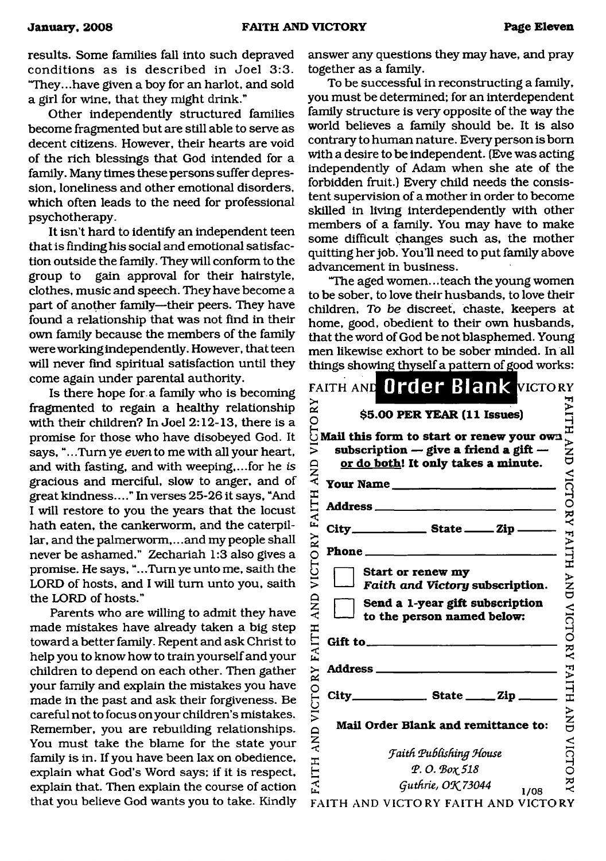results. Some families fall into such depraved conditions as is described in Joel 3:3. "They...have given a boy for an harlot, and sold a girl for wine, that they might drink."

Other independently structured families become fragmented but are still able to serve as decent citizens. However, their hearts are void of the rich blessings that God intended for a family. Many times these persons suffer depression, loneliness and other emotional disorders, which often leads to the need for professional psychotherapy.

It isn't hard to identify an independent teen that is finding his social and emotional satisfaction outside the family. They will conform to the group to gain approval for their hairstyle, clothes, music and speech. They have become a part of another family—their peers. They have found a relationship that was not find in their own family because the members of the family were working independently. However, that teen will never find spiritual satisfaction until they come again under parental authority.

Is there hope for. a family who is becoming fragmented to regain a healthy relationship with their children? In Joel 2:12-13, there is a promise for those who have disobeyed God. It says, ".. .Turn ye *even* to me with all your heart, and with fasting, and with weeping,...for he *is* gracious and merciful, slow to anger, and of great kindness...." In verses 25-26 it says, "And I will restore to you the years that the locust hath eaten, the cankerworm, and the caterpillar, and the palmerworm,.. .and my people shall never be ashamed." Zechariah 1:3 also gives a promise. He says, ".. .Turn ye unto me, saith the LORD of hosts, and I will turn unto you, saith the LORD of hosts."

Parents who are willing to admit they have made mistakes have already taken a big step toward a better family. Repent and ask Christ to help you to know how to train yourself and your children to depend on each other. Then gather your family and explain the mistakes you have made in the past and ask their forgiveness. Be careful not to focus on your children's mistakes. Remember, you are rebuilding relationships. You must take the blame for the state your family is in. If you have been lax on obedience, explain what God's Word says; if it is respect, explain that. Then explain the course of action that you believe God wants you to take. Kindly answer any questions they may have, and pray together as a family.

To be successful in reconstructing a family, you must be determined; for an interdependent family structure is very opposite of the way the world believes a family should be. It is also contrary to human nature. Every person is bom with a desire to be independent. (Eve was acting independently of Adam when she ate of the forbidden fruit.) Every child needs the consistent supervision of a mother in order to become skilled in living interdependently with other members of a family. You may have to make some difficult changes such as, the mother quitting her job. You'll need to put family above advancement in business.

"The aged women.. .teach the young women to be sober, to love their husbands, to love their children, *To be* discreet, chaste, keepers at home, good, obedient to their own husbands, that the word of God be not blasphemed. Young men likewise exhort to be sober minded. In all things showing thyself a pattern of good works:

| RY                 | FAITH AND Order Blank VICTORY<br>\$5.00 PER YEAR (11 Issues)                                                                               |                          |
|--------------------|--------------------------------------------------------------------------------------------------------------------------------------------|--------------------------|
| VICTO<br>FAITH AND | Mail this form to start or renew your own<br>subscription $-$ give a friend a gift $-$<br>or do both! It only takes a minute.<br>Your Name | <b>AITH AND</b>          |
|                    |                                                                                                                                            |                          |
|                    | $City$ <sub>___________</sub> State _____ Zip ____                                                                                         |                          |
|                    |                                                                                                                                            |                          |
| VICTORY            | <b>Start or renew my</b><br>Faith and Victory subscription.                                                                                | <b>VICTORY FAITH AND</b> |
| <b>AND</b>         | Send a 1-year gift subscription<br>to the person named below:                                                                              |                          |
| <b>FAITH</b>       | Gift to $\qquad \qquad$                                                                                                                    |                          |
|                    | <b>Address</b> ___<br>the control of the control of the                                                                                    | <b>VICTORY FAITH</b>     |
|                    | $City$ <sub>_______________</sub> State _____ Zip _                                                                                        |                          |
| <b>AND VICTORY</b> | Mail Order Blank and remittance to:                                                                                                        | <b>AND</b>               |
|                    | <b>Faith Publishing House</b>                                                                                                              | <b>VICTORY</b>           |
| FAITH              | Φ.Ο. Βοχ 518                                                                                                                               |                          |
|                    | Guthrie, OK 73044<br>1/08                                                                                                                  |                          |
|                    | FAITH AND VICTORY FAITH AND VICTORY                                                                                                        |                          |